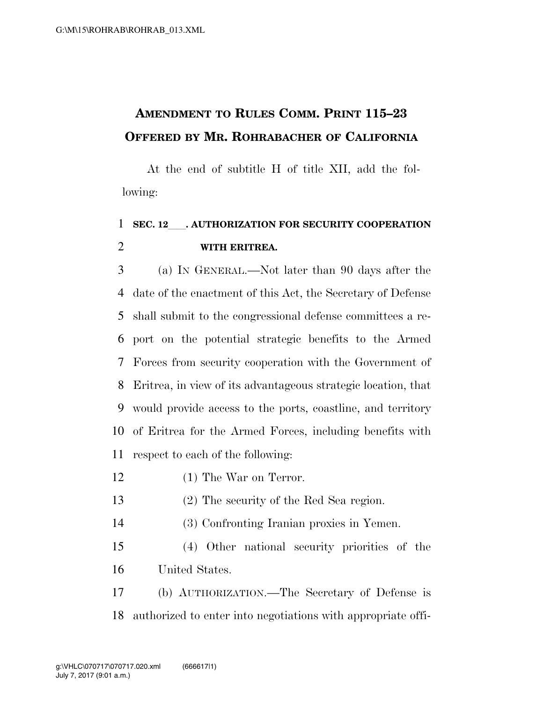## **AMENDMENT TO RULES COMM. PRINT 115–23 OFFERED BY MR. ROHRABACHER OF CALIFORNIA**

At the end of subtitle H of title XII, add the following:

## **SEC. 12**ll**. AUTHORIZATION FOR SECURITY COOPERATION WITH ERITREA.**

 (a) IN GENERAL.—Not later than 90 days after the date of the enactment of this Act, the Secretary of Defense shall submit to the congressional defense committees a re- port on the potential strategic benefits to the Armed Forces from security cooperation with the Government of Eritrea, in view of its advantageous strategic location, that would provide access to the ports, coastline, and territory of Eritrea for the Armed Forces, including benefits with respect to each of the following:

- (1) The War on Terror.
- (2) The security of the Red Sea region.
- (3) Confronting Iranian proxies in Yemen.
- (4) Other national security priorities of the United States.

 (b) AUTHORIZATION.—The Secretary of Defense is authorized to enter into negotiations with appropriate offi-